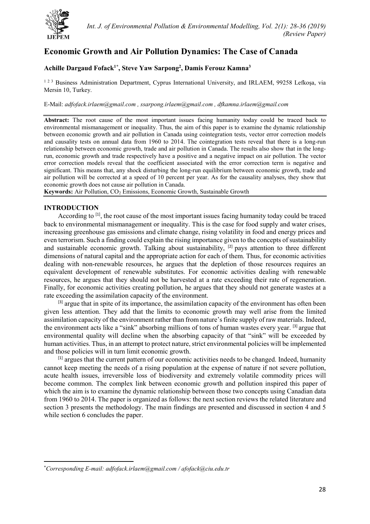

# **Economic Growth and Air Pollution Dynamics: The Case of Canada**

# **Achille Dargaud Fofack1[\\*](#page-0-0) , Steve Yaw Sarpong2 , Damis Ferouz Kamna3**

<sup>123</sup> Business Administration Department, Cyprus International University, and IRLAEM, 99258 Lefkoșa, via Mersin 10, Turkey.

# E-Mail: *[adfofack.irlaem@gmail.com](mailto:adfofack.irlaem@gmail.com) , [ssarpong.irlaem@gmail.com](mailto:ssarpong.irlaem@gmail.com) , [dfkamna.irlaem@gmail.com](mailto:dfkamna.irlaem@gmail.com)*

**Abstract:** The root cause of the most important issues facing humanity today could be traced back to environmental mismanagement or inequality. Thus, the aim of this paper is to examine the dynamic relationship between economic growth and air pollution in Canada using cointegration tests, vector error correction models and causality tests on annual data from 1960 to 2014. The cointegration tests reveal that there is a long-run relationship between economic growth, trade and air pollution in Canada. The results also show that in the longrun, economic growth and trade respectively have a positive and a negative impact on air pollution. The vector error correction models reveal that the coefficient associated with the error correction term is negative and significant. This means that, any shock disturbing the long-run equilibrium between economic growth, trade and air pollution will be corrected at a speed of 10 percent per year. As for the causality analyses, they show that economic growth does not cause air pollution in Canada.

Keywords: Air Pollution, CO<sub>2</sub> Emissions, Economic Growth, Sustainable Growth

# **INTRODUCTION**

 $\overline{a}$ 

According to <sup>[1]</sup>, the root cause of the most important issues facing humanity today could be traced back to environmental mismanagement or inequality. This is the case for food supply and water crises, increasing greenhouse gas emissions and climate change, rising volatility in food and energy prices and even terrorism. Such a finding could explain the rising importance given to the concepts of sustainability and sustainable economic growth. Talking about sustainability, <sup>[2]</sup> pays attention to three different dimensions of natural capital and the appropriate action for each of them. Thus, for economic activities dealing with non-renewable resources, he argues that the depletion of those resources requires an equivalent development of renewable substitutes. For economic activities dealing with renewable resources, he argues that they should not be harvested at a rate exceeding their rate of regeneration. Finally, for economic activities creating pollution, he argues that they should not generate wastes at a rate exceeding the assimilation capacity of the environment.

 $<sup>[3]</sup>$  argue that in spite of its importance, the assimilation capacity of the environment has often been</sup> given less attention. They add that the limits to economic growth may well arise from the limited assimilation capacity of the environment rather than from nature's finite supply of raw materials. Indeed, the environment acts like a "sink" absorbing millions of tons of human wastes every year. <sup>[3]</sup> argue that environmental quality will decline when the absorbing capacity of that "sink" will be exceeded by human activities. Thus, in an attempt to protect nature, strict environmental policies will be implemented and those policies will in turn limit economic growth.

 $<sup>[1]</sup>$  argues that the current pattern of our economic activities needs to be changed. Indeed, humanity</sup> cannot keep meeting the needs of a rising population at the expense of nature if not severe pollution, acute health issues, irreversible loss of biodiversity and extremely volatile commodity prices will become common. The complex link between economic growth and pollution inspired this paper of which the aim is to examine the dynamic relationship between those two concepts using Canadian data from 1960 to 2014. The paper is organized as follows: the next section reviews the related literature and section 3 presents the methodology. The main findings are presented and discussed in section 4 and 5 while section 6 concludes the paper.

<span id="page-0-0"></span><sup>\*</sup> *Corresponding E-mail: [adfofack.irlaem@gmail.com](mailto:adfofack.irlaem@gmail.com) / [afofack@ciu.edu.tr](mailto:afofack@ciu.edu.tr)*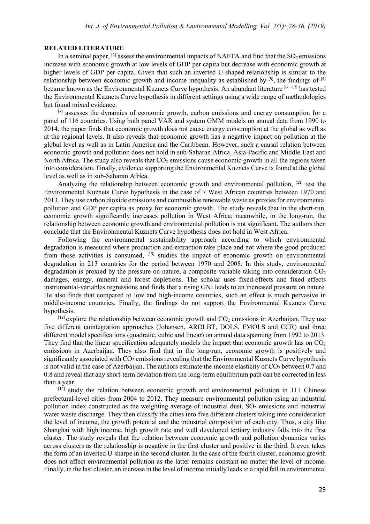## **RELATED LITERATURE**

In a seminal paper,  $^{[4]}$  assess the environmental impacts of NAFTA and find that the SO<sub>2</sub> emissions increase with economic growth at low levels of GDP per capita but decrease with economic growth at higher levels of GDP per capita. Given that such an inverted U-shaped relationship is similar to the relationship between economic growth and income inequality as established by <sup>[5]</sup>, the findings of <sup>[4]</sup> became known as the Environmental Kuznets Curve hypothesis. An abundant literature [6-12] has tested the Environmental Kuznets Curve hypothesis in different settings using a wide range of methodologies but found mixed evidence.

 $<sup>[7]</sup>$  assesses the dynamics of economic growth, carbon emissions and energy consumption for a</sup> panel of 116 countries. Using both panel VAR and system GMM models on annual data from 1990 to 2014, the paper finds that economic growth does not cause energy consumption at the global as well as at the regional levels. It also reveals that economic growth has a negative impact on pollution at the global level as well as in Latin America and the Caribbean. However, such a causal relation between economic growth and pollution does not hold in sub-Saharan Africa, Asia-Pacific and Middle-East and North Africa. The study also reveals that  $CO<sub>2</sub>$  emissions cause economic growth in all the regions taken into consideration. Finally, evidence supporting the Environmental Kuznets Curve is found at the global level as well as in sub-Saharan Africa.

Analyzing the relationship between economic growth and environmental pollution, <sup>[11]</sup> test the Environmental Kuznets Curve hypothesis in the case of 7 West African countries between 1970 and 2013. They use carbon dioxide emissions and combustible renewable waste as proxies for environmental pollution and GDP per capita as proxy for economic growth. The study reveals that in the short-run, economic growth significantly increases pollution in West Africa; meanwhile, in the long-run, the relationship between economic growth and environmental pollution is not significant. The authors then conclude that the Environmental Kuznets Curve hypothesis does not hold in West Africa.

Following the environmental sustainability approach according to which environmental degradation is measured where production and extraction take place and not where the good produced from those activities is consumed, <sup>[13]</sup> studies the impact of economic growth on environmental degradation in 213 countries for the period between 1970 and 2008. In this study, environmental degradation is proxied by the pressure on nature, a composite variable taking into consideration  $CO<sub>2</sub>$ damages, energy, mineral and forest depletions. The scholar uses fixed-effects and fixed effects instrumental-variables regressions and finds that a rising GNI leads to an increased pressure on nature. He also finds that compared to low and high-income countries, such an effect is much pervasive in middle-income countries. Finally, the findings do not support the Environmental Kuznets Curve hypothesis.

 $[12]$  explore the relationship between economic growth and  $CO<sub>2</sub>$  emissions in Azerbaijan. They use five different cointegration approaches (Johansen, ARDLBT, DOLS, FMOLS and CCR) and three different model specifications (quadratic, cubic and linear) on annual data spanning from 1992 to 2013. They find that the linear specification adequately models the impact that economic growth has on  $CO<sub>2</sub>$ emissions in Azerbaijan. They also find that in the long-run, economic growth is positively and significantly associated with CO<sub>2</sub> emissions revealing that the Environmental Kuznets Curve hypothesis is not valid in the case of Azerbaijan. The authors estimate the income elasticity of  $CO<sub>2</sub>$  between 0.7 and 0.8 and reveal that any short-term deviation from the long-term equilibrium path can be corrected in less than a year.

[14] study the relation between economic growth and environmental pollution in 111 Chinese prefectural-level cities from 2004 to 2012. They measure environmental pollution using an industrial pollution index constructed as the weighting average of industrial dust,  $SO_2$  emissions and industrial water waste discharge. They then classify the cities into five different clusters taking into consideration the level of income, the growth potential and the industrial composition of each city. Thus, a city like Shanghai with high income, high growth rate and well developed tertiary industry falls into the first cluster. The study reveals that the relation between economic growth and pollution dynamics varies across clusters as the relationship is negative in the first cluster and positive in the third. It even takes the form of an inverted U-sharpe in the second cluster. In the case of the fourth cluster, economic growth does not affect environmental pollution as the latter remains constant no matter the level of income. Finally, in the last cluster, an increase in the level of income initially leads to a rapid fall in environmental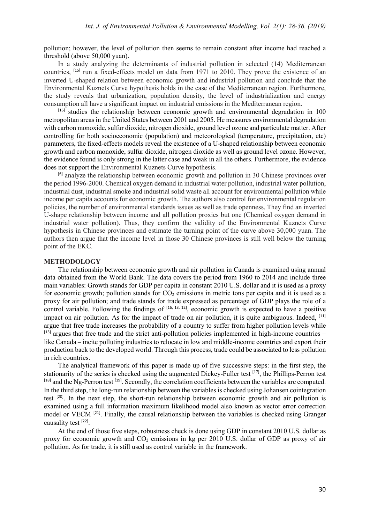pollution; however, the level of pollution then seems to remain constant after income had reached a threshold (above 50,000 yuan).

In a study analyzing the determinants of industrial pollution in selected (14) Mediterranean countries, [15] run a fixed-effects model on data from 1971 to 2010. They prove the existence of an inverted U-shaped relation between economic growth and industrial pollution and conclude that the Environmental Kuznets Curve hypothesis holds in the case of the Mediterranean region. Furthermore, the study reveals that urbanization, population density, the level of industrialization and energy consumption all have a significant impact on industrial emissions in the Mediterranean region.

 $[16]$  studies the relationship between economic growth and environmental degradation in 100 metropolitan areas in the United States between 2001 and 2005. He measures environmental degradation with carbon monoxide, sulfur dioxide, nitrogen dioxide, ground level ozone and particulate matter. After controlling for both socioeconomic (population) and meteorological (temperature, precipitation, etc) parameters, the fixed-effects models reveal the existence of a U-shaped relationship between economic growth and carbon monoxide, sulfur dioxide, nitrogen dioxide as well as ground level ozone. However, the evidence found is only strong in the latter case and weak in all the others. Furthermore, the evidence does not support the Environmental Kuznets Curve hypothesis.

[6] analyze the relationship between economic growth and pollution in 30 Chinese provinces over the period 1996-2000. Chemical oxygen demand in industrial water pollution, industrial water pollution, industrial dust, industrial smoke and industrial solid waste all account for environmental pollution while income per capita accounts for economic growth. The authors also control for environmental regulation policies, the number of environmental standards issues as well as trade openness. They find an inverted U-shape relationship between income and all pollution proxies but one (Chemical oxygen demand in industrial water pollution). Thus, they confirm the validity of the Environmental Kuznets Curve hypothesis in Chinese provinces and estimate the turning point of the curve above 30,000 yuan. The authors then argue that the income level in those 30 Chinese provinces is still well below the turning point of the EKC.

#### **METHODOLOGY**

The relationship between economic growth and air pollution in Canada is examined using annual data obtained from the World Bank. The data covers the period from 1960 to 2014 and include three main variables: Growth stands for GDP per capita in constant 2010 U.S. dollar and it is used as a proxy for economic growth; pollution stands for  $CO<sub>2</sub>$  emissions in metric tons per capita and it is used as a proxy for air pollution; and trade stands for trade expressed as percentage of GDP plays the role of a control variable. Following the findings of  $[16, 13, 12]$ , economic growth is expected to have a positive impact on air pollution. As for the impact of trade on air pollution, it is quite ambiguous. Indeed, <sup>[11]</sup> argue that free trade increases the probability of a country to suffer from higher pollution levels while  $^{[13]}$  argues that free trade and the strict anti-pollution policies implemented in high-income countries – like Canada – incite polluting industries to relocate in low and middle-income countries and export their production back to the developed world. Through this process, trade could be associated to less pollution in rich countries.

The analytical framework of this paper is made up of five successive steps: in the first step, the stationarity of the series is checked using the augmented Dickey-Fuller test [17], the Phillips-Perron test  $[18]$  and the Ng-Perron test  $[19]$ . Secondly, the correlation coefficients between the variables are computed. In the third step, the long-run relationship between the variables is checked using Johansen cointegration test [20]. In the next step, the short-run relationship between economic growth and air pollution is examined using a full information maximum likelihood model also known as vector error correction model or VECM  $^{[21]}$ . Finally, the causal relationship between the variables is checked using Granger causality test [22].

At the end of those five steps, robustness check is done using GDP in constant 2010 U.S. dollar as proxy for economic growth and  $CO<sub>2</sub>$  emissions in kg per 2010 U.S. dollar of GDP as proxy of air pollution. As for trade, it is still used as control variable in the framework.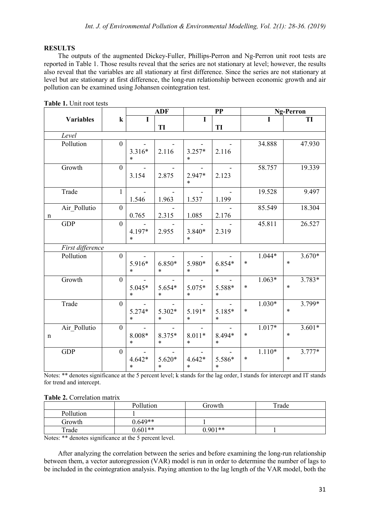# **RESULTS**

The outputs of the augmented Dickey-Fuller, Phillips-Perron and Ng-Perron unit root tests are reported in Table 1. Those results reveal that the series are not stationary at level; however, the results also reveal that the variables are all stationary at first difference. Since the series are not stationary at level but are stationary at first difference, the long-run relationship between economic growth and air pollution can be examined using Johansen cointegration test.

|             |                  |                | <b>ADF</b>         |                    | PP                 |                  |        | <b>Ng-Perron</b> |        |          |
|-------------|------------------|----------------|--------------------|--------------------|--------------------|------------------|--------|------------------|--------|----------|
|             | <b>Variables</b> | ${\bf k}$      |                    |                    | I                  |                  |        |                  |        | TI       |
|             |                  |                |                    | TI                 |                    | TI               |        |                  |        |          |
|             | Level            |                |                    |                    |                    |                  |        |                  |        |          |
|             | Pollution        | $\overline{0}$ |                    |                    |                    |                  |        | 34.888           |        | 47.930   |
|             |                  |                | 3.316*<br>$\ast$   | 2.116              | $3.257*$<br>$\ast$ | 2.116            |        |                  |        |          |
|             | Growth           | $\mathbf{0}$   |                    |                    |                    |                  |        | 58.757           |        | 19.339   |
|             |                  |                | 3.154              | 2.875              | 2.947*<br>$\ast$   | 2.123            |        |                  |        |          |
|             | Trade            | $\mathbf{1}$   |                    |                    |                    |                  |        | 19.528           |        | 9.497    |
|             |                  |                | 1.546              | 1.963              | 1.537              | 1.199            |        |                  |        |          |
|             | Air_Pollutio     | $\overline{0}$ |                    |                    |                    |                  |        | 85.549           |        | 18.304   |
| $\mathbf n$ |                  |                | 0.765              | 2.315              | 1.085              | 2.176            |        |                  |        |          |
|             | <b>GDP</b>       | $\overline{0}$ |                    |                    |                    |                  |        | 45.811           |        | 26.527   |
|             |                  |                | 4.197*<br>$\ast$   | 2.955              | 3.840*<br>$\ast$   | 2.319            |        |                  |        |          |
|             | First difference |                |                    |                    |                    |                  |        |                  |        |          |
|             | Pollution        | $\overline{0}$ |                    |                    |                    |                  |        | $1.044*$         |        | $3.670*$ |
|             |                  |                | 5.916*<br>$\ast$   | $6.850*$<br>$\ast$ | 5.980*<br>$\ast$   | 6.854*<br>$\ast$ | $\ast$ |                  | $\ast$ |          |
|             | Growth           | $\overline{0}$ |                    |                    |                    |                  |        | $1.063*$         |        | 3.783*   |
|             |                  |                | 5.045*<br>$\ast$   | 5.654*<br>$\ast$   | 5.075*<br>$\ast$   | 5.588*<br>$\ast$ | $\ast$ |                  | $\ast$ |          |
|             | Trade            | $\mathbf{0}$   |                    |                    |                    |                  |        | $1.030*$         |        | 3.799*   |
|             |                  |                | $5.274*$<br>$\ast$ | 5.302*<br>$\ast$   | 5.191*<br>$\ast$   | 5.185*<br>$\ast$ | $\ast$ |                  | $\ast$ |          |
|             | Air_Pollutio     | $\overline{0}$ |                    |                    |                    |                  |        | $1.017*$         |        | $3.601*$ |
| $\mathbf n$ |                  |                | 8.008*<br>$\ast$   | 8.375*<br>$\ast$   | $8.011*$<br>$\ast$ | 8.494*<br>$\ast$ | $\ast$ |                  | $\ast$ |          |
|             | <b>GDP</b>       | $\mathbf{0}$   |                    |                    |                    |                  |        | $1.110*$         |        | $3.777*$ |
|             |                  |                | $4.642*$<br>$\ast$ | $5.620*$<br>$\ast$ | $4.642*$<br>$\ast$ | 5.586*<br>$\ast$ | $\ast$ |                  | $\ast$ |          |

**Table 1.** Unit root tests

Notes: \*\* denotes significance at the 5 percent level; k stands for the lag order, I stands for intercept and IT stands for trend and intercept.

| Table 2. Correlation matrix |  |
|-----------------------------|--|
|                             |  |

|           | Pollution | Growth    | Trade |
|-----------|-----------|-----------|-------|
| Pollution |           |           |       |
| Growth    | $0.649**$ |           |       |
| Trade     | $0.601**$ | $0.901**$ |       |

Notes: \*\* denotes significance at the 5 percent level.

After analyzing the correlation between the series and before examining the long-run relationship between them, a vector autoregression (VAR) model is run in order to determine the number of lags to be included in the cointegration analysis. Paying attention to the lag length of the VAR model, both the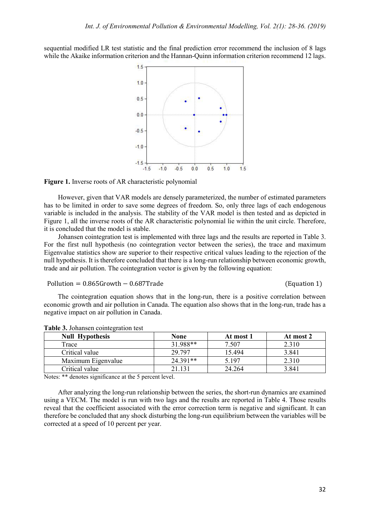sequential modified LR test statistic and the final prediction error recommend the inclusion of 8 lags while the Akaike information criterion and the Hannan-Quinn information criterion recommend 12 lags.



#### **Figure 1.** Inverse roots of AR characteristic polynomial

However, given that VAR models are densely parameterized, the number of estimated parameters has to be limited in order to save some degrees of freedom. So, only three lags of each endogenous variable is included in the analysis. The stability of the VAR model is then tested and as depicted in Figure 1, all the inverse roots of the AR characteristic polynomial lie within the unit circle. Therefore, it is concluded that the model is stable.

Johansen cointegration test is implemented with three lags and the results are reported in Table 3. For the first null hypothesis (no cointegration vector between the series), the trace and maximum Eigenvalue statistics show are superior to their respective critical values leading to the rejection of the null hypothesis. It is therefore concluded that there is a long-run relationship between economic growth, trade and air pollution. The cointegration vector is given by the following equation:

Pollution = 0.865Growth − 0.687Trade (Equation 1)

The cointegration equation shows that in the long-run, there is a positive correlation between economic growth and air pollution in Canada. The equation also shows that in the long-run, trade has a negative impact on air pollution in Canada.

| <b>Null Hypothesis</b> | <b>None</b> | At most 1 | At most 2 |
|------------------------|-------------|-----------|-----------|
| Trace                  | 31.988**    | 7.507     | 2.310     |
| Critical value         | 29.797      | 15.494    | 3.841     |
| Maximum Eigenvalue     | 24.391**    | 5.197     | 2.310     |
| Critical value         | 21.131      | 24.264    | 3.841     |

**Table 3.** Johansen cointegration test

Notes: \*\* denotes significance at the 5 percent level.

After analyzing the long-run relationship between the series, the short-run dynamics are examined using a VECM. The model is run with two lags and the results are reported in Table 4. Those results reveal that the coefficient associated with the error correction term is negative and significant. It can therefore be concluded that any shock disturbing the long-run equilibrium between the variables will be corrected at a speed of 10 percent per year.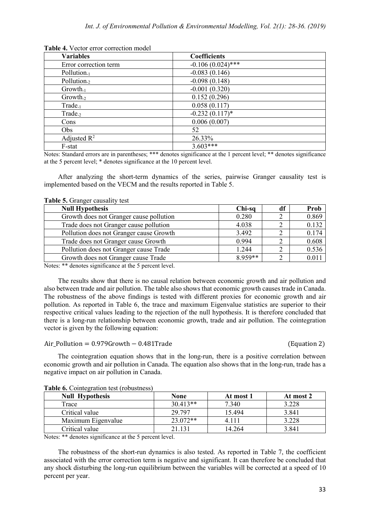| <b>Variables</b>        | Coefficients        |
|-------------------------|---------------------|
| Error correction term   | $-0.106(0.024)$ *** |
| Pollution. $1$          | $-0.083(0.146)$     |
| Pollution <sub>-2</sub> | $-0.098(0.148)$     |
| Growth <sub>-1</sub>    | $-0.001(0.320)$     |
| $Growth-2$              | 0.152(0.296)        |
| Trade <sub>-1</sub>     | 0.058(0.117)        |
| Trade <sub>-2</sub>     | $-0.232(0.117)$ *   |
| Cons                    | 0.006(0.007)        |
| Obs                     | 52                  |
| Adjusted $\mathbb{R}^2$ | 26.33%              |
| F-stat                  | $3.603***$          |

**Table 4.** Vector error correction model

Notes: Standard errors are in parentheses; \*\*\* denotes significance at the 1 percent level; \*\* denotes significance at the 5 percent level; \* denotes significance at the 10 percent level.

After analyzing the short-term dynamics of the series, pairwise Granger causality test is implemented based on the VECM and the results reported in Table 5.

| <b>Null Hypothesis</b>                  | Chi-sq  | df | Prob  |
|-----------------------------------------|---------|----|-------|
| Growth does not Granger cause pollution | 0.280   |    | 0.869 |
| Trade does not Granger cause pollution  | 4.038   |    | 0.132 |
| Pollution does not Granger cause Growth | 3.492   |    | 0.174 |
| Trade does not Granger cause Growth     | 0.994   |    | 0.608 |
| Pollution does not Granger cause Trade  | 1.244   |    | 0.536 |
| Growth does not Granger cause Trade     | 8.959** |    |       |

**Table 5.** Granger causality test

Notes: \*\* denotes significance at the 5 percent level.

The results show that there is no causal relation between economic growth and air pollution and also between trade and air pollution. The table also shows that economic growth causes trade in Canada. The robustness of the above findings is tested with different proxies for economic growth and air pollution. As reported in Table 6, the trace and maximum Eigenvalue statistics are superior to their respective critical values leading to the rejection of the null hypothesis. It is therefore concluded that there is a long-run relationship between economic growth, trade and air pollution. The cointegration vector is given by the following equation:

# Air\_Pollution = 0.979Growth − 0.481Trade (Equation 2)

The cointegration equation shows that in the long-run, there is a positive correlation between economic growth and air pollution in Canada. The equation also shows that in the long-run, trade has a negative impact on air pollution in Canada.

| <b>Null Hypothesis</b> | None       | At most 1 | At most 2 |
|------------------------|------------|-----------|-----------|
| Trace                  | $30.413**$ | 7.340     | 3.228     |
| Critical value         | 29.797     | 15.494    | 3.841     |
| Maximum Eigenvalue     | $23.072**$ | 4.111     | 3.228     |
| Critical value         | 21.131     | 14.264    | 3.841     |

**Table 6.** Cointegration test (robustness)

Notes: \*\* denotes significance at the 5 percent level.

The robustness of the short-run dynamics is also tested. As reported in Table 7, the coefficient associated with the error correction term is negative and significant. It can therefore be concluded that any shock disturbing the long-run equilibrium between the variables will be corrected at a speed of 10 percent per year.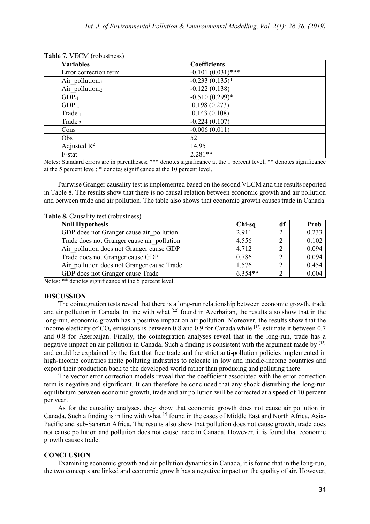| <b>Variables</b>        | Coefficients        |
|-------------------------|---------------------|
| Error correction term   | $-0.101(0.031)$ *** |
| Air pollution. $1$      | $-0.233(0.135)$ *   |
| Air pollution.2         | $-0.122(0.138)$     |
| $GDP_{-1}$              | $-0.510(0.299)*$    |
| $GDP_{-2}$              | 0.198(0.273)        |
| $Trade_{-1}$            | 0.143(0.108)        |
| Trade <sub>-2</sub>     | $-0.224(0.107)$     |
| Cons                    | $-0.006(0.011)$     |
| Obs                     | 52                  |
| Adjusted $\mathbb{R}^2$ | 14.95               |
| F-stat                  | $2.281**$           |

**Table 7.** VECM (robustness)

Notes: Standard errors are in parentheses; \*\*\* denotes significance at the 1 percent level; \*\* denotes significance at the 5 percent level; \* denotes significance at the 10 percent level.

Pairwise Granger causality test is implemented based on the second VECM and the results reported in Table 8. The results show that there is no causal relation between economic growth and air pollution and between trade and air pollution. The table also shows that economic growth causes trade in Canada.

| <b>Null Hypothesis</b>                     | Chi-sq    | df | Prob  |  |  |
|--------------------------------------------|-----------|----|-------|--|--|
| GDP does not Granger cause air pollution   | 2.911     |    | 0.233 |  |  |
| Trade does not Granger cause air pollution | 4.556     |    | 0.102 |  |  |
| Air pollution does not Granger cause GDP   | 4.712     |    | 0.094 |  |  |
| Trade does not Granger cause GDP           | 0.786     |    | 0.094 |  |  |
| Air pollution does not Granger cause Trade | 1.576     |    | 0.454 |  |  |
| GDP does not Granger cause Trade           | $6.354**$ |    | 0.004 |  |  |

**Table 8.** Causality test (robustness)

Notes: \*\* denotes significance at the 5 percent level.

### **DISCUSSION**

The cointegration tests reveal that there is a long-run relationship between economic growth, trade and air pollution in Canada. In line with what <sup>[12]</sup> found in Azerbaijan, the results also show that in the long-run, economic growth has a positive impact on air pollution. Moreover, the results show that the income elasticity of  $CO_2$  emissions is between 0.8 and 0.9 for Canada while <sup>[12]</sup> estimate it between 0.7 and 0.8 for Azerbaijan. Finally, the cointegration analyses reveal that in the long-run, trade has a negative impact on air pollution in Canada. Such a finding is consistent with the argument made by [13] and could be explained by the fact that free trade and the strict anti-pollution policies implemented in high-income countries incite polluting industries to relocate in low and middle-income countries and export their production back to the developed world rather than producing and polluting there.

The vector error correction models reveal that the coefficient associated with the error correction term is negative and significant. It can therefore be concluded that any shock disturbing the long-run equilibrium between economic growth, trade and air pollution will be corrected at a speed of 10 percent per year.

As for the causality analyses, they show that economic growth does not cause air pollution in Canada. Such a finding is in line with what [7] found in the cases of Middle East and North Africa, Asia-Pacific and sub-Saharan Africa. The results also show that pollution does not cause growth, trade does not cause pollution and pollution does not cause trade in Canada. However, it is found that economic growth causes trade.

### **CONCLUSION**

Examining economic growth and air pollution dynamics in Canada, it is found that in the long-run, the two concepts are linked and economic growth has a negative impact on the quality of air. However,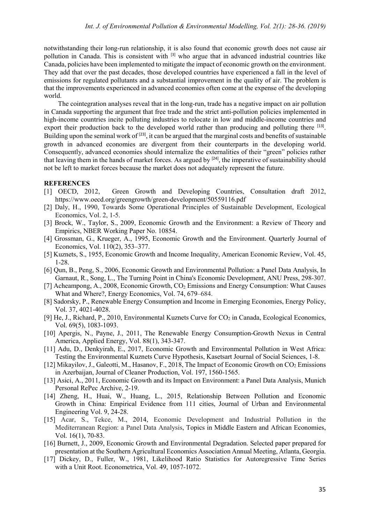notwithstanding their long-run relationship, it is also found that economic growth does not cause air pollution in Canada. This is consistent with  $^{[3]}$  who argue that in advanced industrial countries like Canada, policies have been implemented to mitigate the impact of economic growth on the environment. They add that over the past decades, those developed countries have experienced a fall in the level of emissions for regulated pollutants and a substantial improvement in the quality of air. The problem is that the improvements experienced in advanced economies often come at the expense of the developing world.

The cointegration analyses reveal that in the long-run, trade has a negative impact on air pollution in Canada supporting the argument that free trade and the strict anti-pollution policies implemented in high-income countries incite polluting industries to relocate in low and middle-income countries and export their production back to the developed world rather than producing and polluting there  $[13]$ . Building upon the seminal work of <sup>[23]</sup>, it can be argued that the marginal costs and benefits of sustainable growth in advanced economies are divergent from their counterparts in the developing world. Consequently, advanced economies should internalize the externalities of their "green" policies rather that leaving them in the hands of market forces. As argued by <sup>[24]</sup>, the imperative of sustainability should not be left to market forces because the market does not adequately represent the future.

## **REFERENCES**

- [1] OECD, 2012, Green Growth and Developing Countries, Consultation draft 2012, <https://www.oecd.org/greengrowth/green-development/50559116.pdf>
- [2] Daly, H., 1990, Towards Some Operational Principles of Sustainable Development, Ecological Economics, Vol. 2, 1-5.
- [3] Brock, W., Taylor, S., 2009, Economic Growth and the Environment: a Review of Theory and Empirics, NBER Working Paper No. 10854.
- [4] Grossman, G., Krueger, A., 1995, Economic Growth and the Environment. Quarterly Journal of Economics, Vol. 110(2), 353–377.
- [5] Kuznets, S., 1955, Economic Growth and Income Inequality, American Economic Review, Vol. 45, 1-28.
- [6] Qun, B., Peng, S., 2006, Economic Growth and Environmental Pollution: a Panel Data Analysis, In Garnaut, R., Song, L., The Turning Point in China's Economic Development, ANU Press, 298-307.
- [7] Acheampong, A., 2008, Economic Growth, CO<sub>2</sub> Emissions and Energy Consumption: What Causes What and Where?, Energy Economics, Vol. 74, 679–684.
- [8] Sadorsky, P., Renewable Energy Consumption and Income in Emerging Economies, Energy Policy, Vol. 37, 4021-4028.
- [9] He, J., Richard, P., 2010, Environmental Kuznets Curve for  $CO<sub>2</sub>$  in Canada, Ecological Economics, Vol. 69(5), 1083-1093.
- [10] Apergis, N., Payne, J., 2011, The Renewable Energy Consumption-Growth Nexus in Central America, Applied Energy, Vol. 88(1), 343-347.
- [11] Adu, D., Denkyirah, E., 2017, Economic Growth and Environmental Pollution in West Africa: Testing the Environmental Kuznets Curve Hypothesis, Kasetsart Journal of Social Sciences, 1-8.
- [12] Mikayilov, J., Galeotti, M., Hasanov, F., 2018, The Impact of Economic Growth on  $CO<sub>2</sub>$  Emissions in Azerbaijan, Journal of Cleaner Production, Vol. 197, 1560-1565.
- [13] Asici, A., 2011, Economic Growth and its Impact on Environment: a Panel Data Analysis, Munich Personal RePec Archive, 2-19.
- [14] Zheng, H., Huai, W., Huang, L., 2015, Relationship Between Pollution and Economic Growth in China: Empirical Evidence from 111 cities, Journal of Urban and Environmental Engineering Vol. 9, 24-28.
- [15] Acar, S., Tekce, M., 2014, Economic Development and Industrial Pollution in the Mediterranean Region: a Panel Data Analysis, Topics in Middle Eastern and African Economies, Vol. 16(1), 70-83.
- [16] Burnett, J., 2009, Economic Growth and Environmental Degradation. Selected paper prepared for presentation at the Southern Agricultural Economics Association Annual Meeting, Atlanta, Georgia.
- [17] Dickey, D., Fuller, W., 1981, Likelihood Ratio Statistics for Autoregressive Time Series with a Unit Root. Econometrica, Vol. 49, 1057-1072.